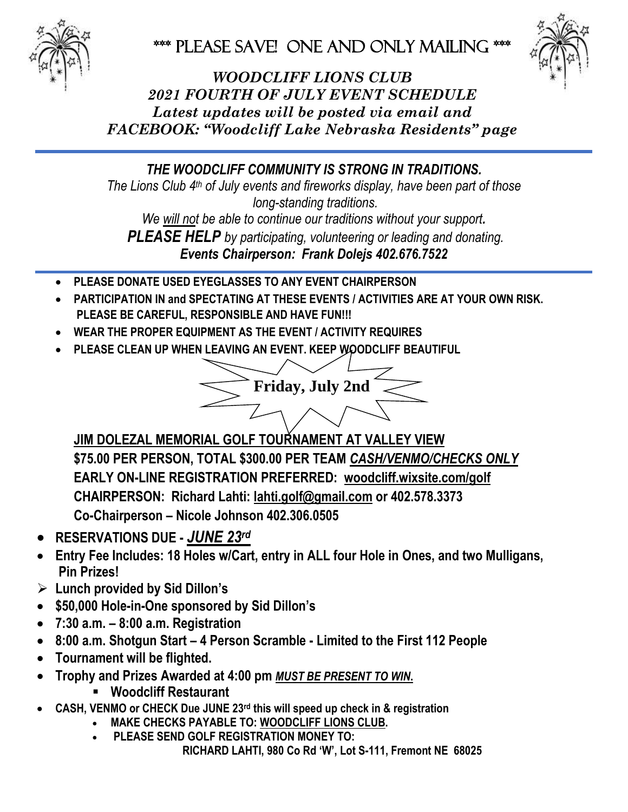

PLEASE SAVE! ONE AND ONLY MAILING \*\*\*



*WOODCLIFF LIONS CLUB 2021 FOURTH OF JULY EVENT SCHEDULE Latest updates will be posted via email and FACEBOOK: "Woodcliff Lake Nebraska Residents" page*

*THE WOODCLIFF COMMUNITY IS STRONG IN TRADITIONS.*

*The Lions Club 4 th of July events and fireworks display, have been part of those long-standing traditions.*

*We will not be able to continue our traditions without your support.*

*PLEASE HELP by participating, volunteering or leading and donating.* 

*Events Chairperson: Frank Dolejs 402.676.7522*

- **PLEASE DONATE USED EYEGLASSES TO ANY EVENT CHAIRPERSON**
- **PARTICIPATION IN and SPECTATING AT THESE EVENTS / ACTIVITIES ARE AT YOUR OWN RISK. PLEASE BE CAREFUL, RESPONSIBLE AND HAVE FUN!!!**
- **WEAR THE PROPER EQUIPMENT AS THE EVENT / ACTIVITY REQUIRES**
- **PLEASE CLEAN UP WHEN LEAVING AN EVENT. KEEP WOODCLIFF BEAUTIFUL**



**JIM DOLEZAL MEMORIAL GOLF TOURNAMENT AT VALLEY VIEW \$75.00 PER PERSON, TOTAL \$300.00 PER TEAM** *CASH/VENMO/CHECKS ONLY* **EARLY ON-LINE REGISTRATION PREFERRED: woodcliff.wixsite.co[m/golf](http://www.woodcliff.wixsite.com/golf) CHAIRPERSON: Richard Lahti: [lahti.golf@gmail.com](mailto:lahti.golf@gmail.com) or 402.578.3373 Co-Chairperson – Nicole Johnson 402.306.0505**

- **RESERVATIONS DUE -** *JUNE 23 rd*
- **Entry Fee Includes: 18 Holes w/Cart, entry in ALL four Hole in Ones, and two Mulligans, Pin Prizes!**
- ➢ **Lunch provided by Sid Dillon's**
- **\$50,000 Hole-in-One sponsored by Sid Dillon's**
- **7:30 a.m. – 8:00 a.m. Registration**
- **8:00 a.m. Shotgun Start – 4 Person Scramble - Limited to the First 112 People**
- **Tournament will be flighted.**
- **Trophy and Prizes Awarded at 4:00 pm** *MUST BE PRESENT TO WIN***.**
	- **Woodcliff Restaurant**
- **CASH, VENMO or CHECK Due JUNE 23 rd this will speed up check in & registration**
	- **MAKE CHECKS PAYABLE TO: WOODCLIFF LIONS CLUB.** 
		- **PLEASE SEND GOLF REGISTRATION MONEY TO: RICHARD LAHTI, 980 Co Rd 'W', Lot S-111, Fremont NE 68025**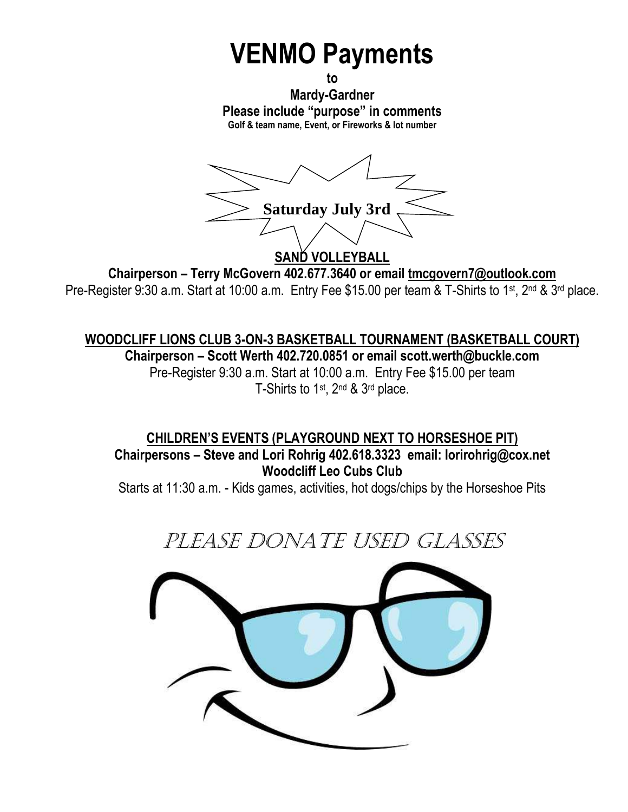# **VENMO Payments**

**to Mardy-Gardner Please include "purpose" in comments Golf & team name, Event, or Fireworks & lot number**

**Saturday July 3rd** SAND VOLLEYBALL

**Chairperson – Terry McGovern 402.677.3640 or email [tmcgovern7@outlook.com](mailto:tmcgovern7@outlook.com)** Pre-Register 9:30 a.m. Start at 10:00 a.m. Entry Fee \$15.00 per team & T-Shirts to 1<sup>st</sup>, 2<sup>nd</sup> & 3<sup>rd</sup> place.

**WOODCLIFF LIONS CLUB 3-ON-3 BASKETBALL TOURNAMENT (BASKETBALL COURT) Chairperson – Scott Werth 402.720.0851 or email scott.werth@buckle.com** Pre-Register 9:30 a.m. Start at 10:00 a.m. Entry Fee \$15.00 per team T-Shirts to 1<sup>st</sup>, 2<sup>nd</sup> & 3<sup>rd</sup> place.

**CHILDREN'S EVENTS (PLAYGROUND NEXT TO HORSESHOE PIT) Chairpersons – Steve and Lori Rohrig 402.618.3323 email: lorirohrig@cox.net Woodcliff Leo Cubs Club**

Starts at 11:30 a.m. - Kids games, activities, hot dogs/chips by the Horseshoe Pits

PLEASE DONATE USED GLASSES

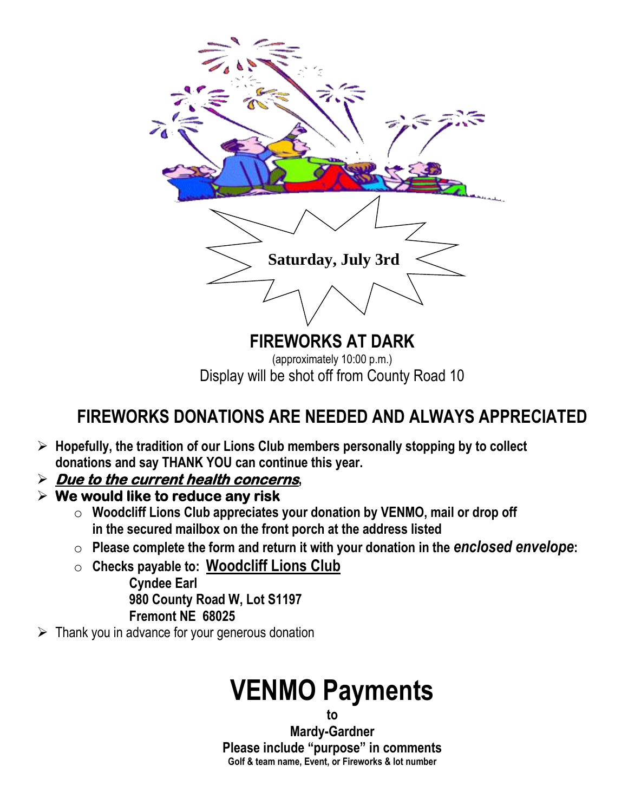

Display will be shot off from County Road 10

### **FIREWORKS DONATIONS ARE NEEDED AND ALWAYS APPRECIATED**

- ➢ **Hopefully, the tradition of our Lions Club members personally stopping by to collect donations and say THANK YOU can continue this year.**
- ➢ **Due to the current health concerns,**
- ➢ **We would like to reduce any risk** 
	- o **Woodcliff Lions Club appreciates your donation by VENMO, mail or drop off in the secured mailbox on the front porch at the address listed**
	- o **Please complete the form and return it with your donation in the** *enclosed envelope***:**
	- o **Checks payable to: Woodcliff Lions Club**
		- **Cyndee Earl 980 County Road W, Lot S1197 Fremont NE 68025**
- $\triangleright$  Thank you in advance for your generous donation

## **VENMO Payments**

**to**

**Mardy-Gardner Please include "purpose" in comments Golf & team name, Event, or Fireworks & lot number**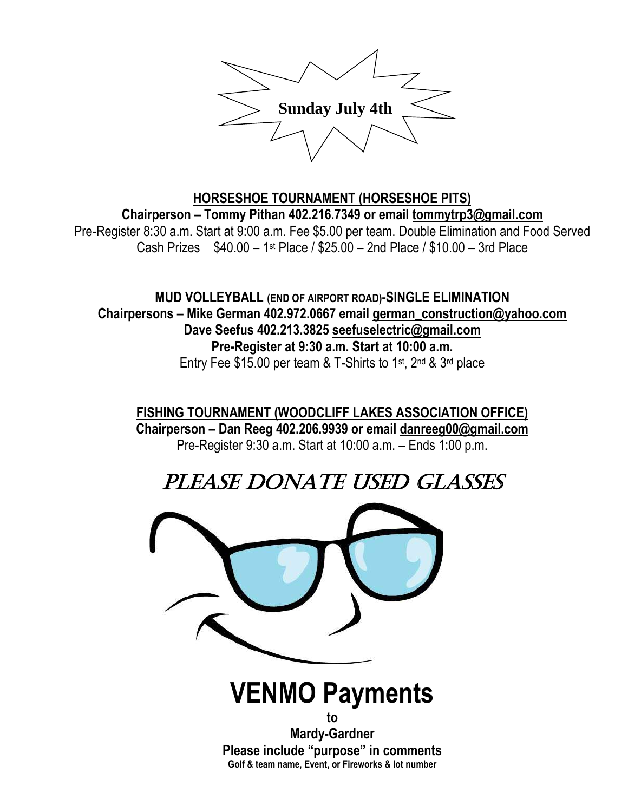

#### **HORSESHOE TOURNAMENT (HORSESHOE PITS) Chairperson – Tommy Pithan 402.216.7349 or email [tommytrp3@gmail.com](mailto:trp3@cox.net)** Pre-Register 8:30 a.m. Start at 9:00 a.m. Fee \$5.00 per team. Double Elimination and Food Served Cash Prizes \$40.00 – 1 st Place / \$25.00 – 2nd Place / \$10.00 – 3rd Place

**MUD VOLLEYBALL (END OF AIRPORT ROAD)-SINGLE ELIMINATION Chairpersons – Mike German 402.972.0667 email [german\\_construction@yahoo.com](mailto:german_construction@yahoo.com) Dave Seefus 402.213.3825 [seefuselectric@gmail.com](mailto:seefuselectric@gmail.com) Pre-Register at 9:30 a.m. Start at 10:00 a.m.** Entry Fee \$15.00 per team & T-Shirts to 1<sup>st</sup>, 2<sup>nd</sup> & 3<sup>rd</sup> place

**FISHING TOURNAMENT (WOODCLIFF LAKES ASSOCIATION OFFICE) Chairperson – Dan Reeg 402.206.9939 or email [danreeg00@gmail.com](mailto:danreeg00@gmail.com)** Pre-Register 9:30 a.m. Start at 10:00 a.m. – Ends 1:00 p.m.

### PLEASE DONATE USED GLASSES

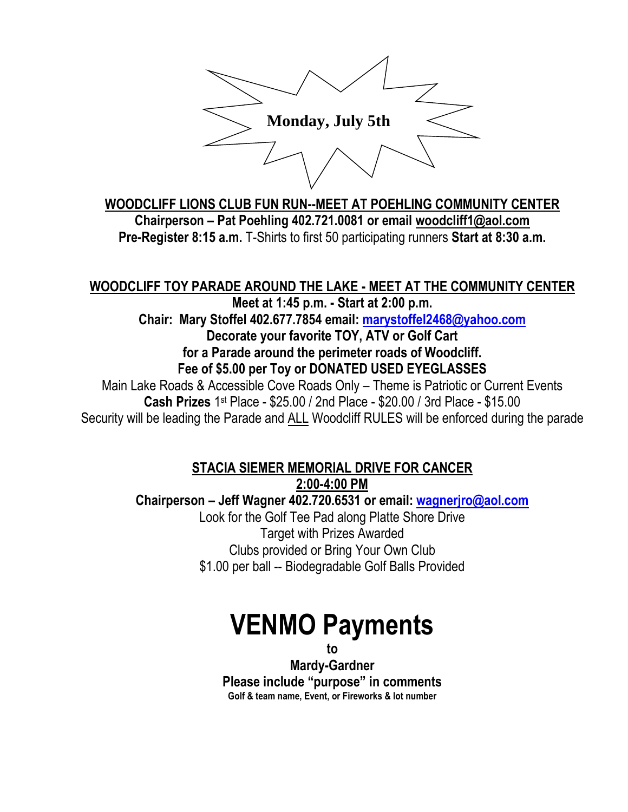

**WOODCLIFF LIONS CLUB FUN RUN--MEET AT POEHLING COMMUNITY CENTER Chairperson – Pat Poehling 402.721.0081 or email [woodcliff1@aol.com](mailto:woodcliff1@aol.com) Pre-Register 8:15 a.m.** T-Shirts to first 50 participating runners **Start at 8:30 a.m.**

#### **WOODCLIFF TOY PARADE AROUND THE LAKE - MEET AT THE COMMUNITY CENTER**

**Meet at 1:45 p.m. - Start at 2:00 p.m.**

**Chair: Mary Stoffel 402.677.7854 email: [marystoffel2468@yahoo.com](mailto:marystoffel2468@yahoo.com)**

**Decorate your favorite TOY, ATV or Golf Cart for a Parade around the perimeter roads of Woodcliff.**

**Fee of \$5.00 per Toy or DONATED USED EYEGLASSES** Main Lake Roads & Accessible Cove Roads Only – Theme is Patriotic or Current Events **Cash Prizes** 1 st Place - \$25.00 / 2nd Place - \$20.00 / 3rd Place - \$15.00

Security will be leading the Parade and ALL Woodcliff RULES will be enforced during the parade

#### **STACIA SIEMER MEMORIAL DRIVE FOR CANCER**

**2:00-4:00 PM**

**Chairperson – Jeff Wagner 402.720.6531 or email: [wagnerjro@aol.com](mailto:wagnerjro@aol.com)** Look for the Golf Tee Pad along Platte Shore Drive Target with Prizes Awarded Clubs provided or Bring Your Own Club \$1.00 per ball -- Biodegradable Golf Balls Provided

# **VENMO Payments**

**to**

**Mardy-Gardner Please include "purpose" in comments Golf & team name, Event, or Fireworks & lot number**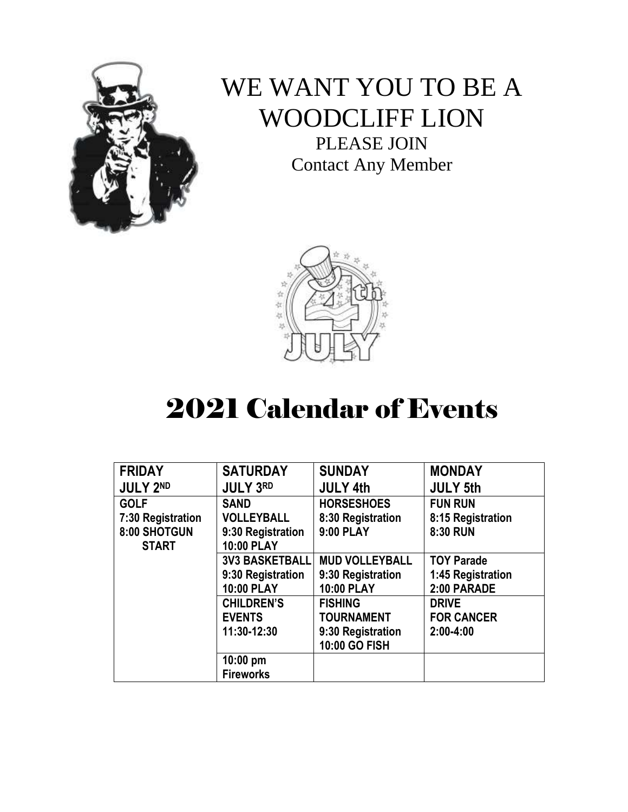

### WE WANT YOU TO BE A WOODCLIFF LION

PLEASE JOIN Contact Any Member



## 2021 Calendar of Events

| <b>FRIDAY</b>     | <b>SATURDAY</b>       | <b>SUNDAY</b>         | <b>MONDAY</b>     |
|-------------------|-----------------------|-----------------------|-------------------|
| <b>JULY 2ND</b>   | <b>JULY 3RD</b>       | <b>JULY 4th</b>       | <b>JULY 5th</b>   |
| <b>GOLF</b>       | <b>SAND</b>           | <b>HORSESHOES</b>     | <b>FUN RUN</b>    |
| 7:30 Registration | <b>VOLLEYBALL</b>     | 8:30 Registration     | 8:15 Registration |
| 8:00 SHOTGUN      | 9:30 Registration     | 9:00 PLAY             | 8:30 RUN          |
| <b>START</b>      | 10:00 PLAY            |                       |                   |
|                   | <b>3V3 BASKETBALL</b> | <b>MUD VOLLEYBALL</b> | <b>TOY Parade</b> |
|                   | 9:30 Registration     | 9:30 Registration     | 1:45 Registration |
|                   | 10:00 PLAY            | <b>10:00 PLAY</b>     | 2:00 PARADE       |
|                   | <b>CHILDREN'S</b>     | <b>FISHING</b>        | <b>DRIVE</b>      |
|                   | <b>EVENTS</b>         | <b>TOURNAMENT</b>     | <b>FOR CANCER</b> |
|                   | 11:30-12:30           | 9:30 Registration     | $2:00 - 4:00$     |
|                   |                       | 10:00 GO FISH         |                   |
|                   | $10:00$ pm            |                       |                   |
|                   | <b>Fireworks</b>      |                       |                   |